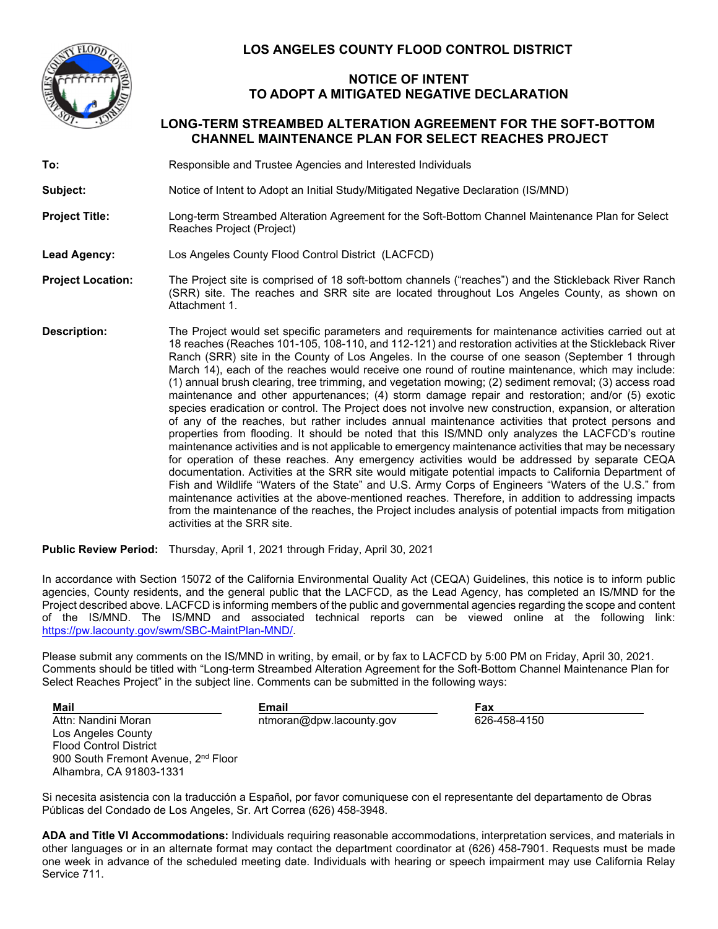

## **LOS ANGELES COUNTY FLOOD CONTROL DISTRICT**

## **NOTICE OF INTENT TO ADOPT A MITIGATED NEGATIVE DECLARATION**

## **LONG-TERM STREAMBED ALTERATION AGREEMENT FOR THE SOFT-BOTTOM CHANNEL MAINTENANCE PLAN FOR SELECT REACHES PROJECT**

**To:** Responsible and Trustee Agencies and Interested Individuals

Subject: Notice of Intent to Adopt an Initial Study/Mitigated Negative Declaration (IS/MND)

**Project Title:** Long-term Streambed Alteration Agreement for the Soft-Bottom Channel Maintenance Plan for Select Reaches Project (Project)

**Lead Agency:** Los Angeles County Flood Control District (LACFCD)

- **Project Location:** The Project site is comprised of 18 soft-bottom channels ("reaches") and the Stickleback River Ranch (SRR) site. The reaches and SRR site are located throughout Los Angeles County, as shown on Attachment 1.
- **Description:** The Project would set specific parameters and requirements for maintenance activities carried out at 18 reaches (Reaches 101-105, 108-110, and 112-121) and restoration activities at the Stickleback River Ranch (SRR) site in the County of Los Angeles. In the course of one season (September 1 through March 14), each of the reaches would receive one round of routine maintenance, which may include: (1) annual brush clearing, tree trimming, and vegetation mowing; (2) sediment removal; (3) access road maintenance and other appurtenances; (4) storm damage repair and restoration; and/or (5) exotic species eradication or control. The Project does not involve new construction, expansion, or alteration of any of the reaches, but rather includes annual maintenance activities that protect persons and properties from flooding. It should be noted that this IS/MND only analyzes the LACFCD's routine maintenance activities and is not applicable to emergency maintenance activities that may be necessary for operation of these reaches. Any emergency activities would be addressed by separate CEQA documentation. Activities at the SRR site would mitigate potential impacts to California Department of Fish and Wildlife "Waters of the State" and U.S. Army Corps of Engineers "Waters of the U.S." from maintenance activities at the above-mentioned reaches. Therefore, in addition to addressing impacts from the maintenance of the reaches, the Project includes analysis of potential impacts from mitigation activities at the SRR site.

**Public Review Period:** Thursday, April 1, 2021 through Friday, April 30, 2021

In accordance with Section 15072 of the California Environmental Quality Act (CEQA) Guidelines, this notice is to inform public agencies, County residents, and the general public that the LACFCD, as the Lead Agency, has completed an IS/MND for the Project described above. LACFCD is informing members of the public and governmental agencies regarding the scope and content of the IS/MND. The IS/MND and associated technical reports can be viewed online at the following link: https://pw.lacounty.gov/swm/SBC-MaintPlan-MND/.

Please submit any comments on the IS/MND in writing, by email, or by fax to LACFCD by 5:00 PM on Friday, April 30, 2021. Comments should be titled with "Long-term Streambed Alteration Agreement for the Soft-Bottom Channel Maintenance Plan for Select Reaches Project" in the subject line. Comments can be submitted in the following ways:

**Mail**  Attn: Nandini Moran Los Angeles County Flood Control District 900 South Fremont Avenue, 2<sup>nd</sup> Floor Alhambra, CA 91803-1331

**Email**  ntmoran@dpw.lacounty.gov

**Fax**  626-458-4150

Si necesita asistencia con la traducción a Español, por favor comuniquese con el representante del departamento de Obras Públicas del Condado de Los Angeles, Sr. Art Correa (626) 458-3948.

**ADA and Title VI Accommodations:** Individuals requiring reasonable accommodations, interpretation services, and materials in other languages or in an alternate format may contact the department coordinator at (626) 458-7901. Requests must be made one week in advance of the scheduled meeting date. Individuals with hearing or speech impairment may use California Relay Service 711.